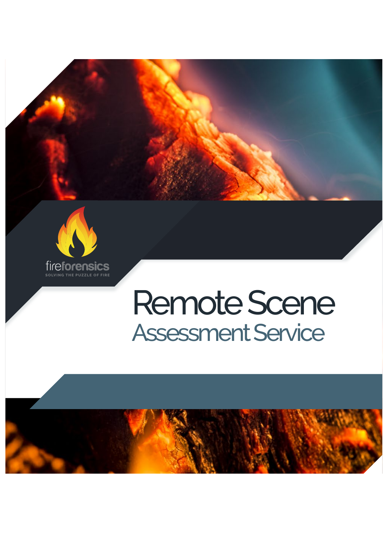



## Remote Scene Assessment Service